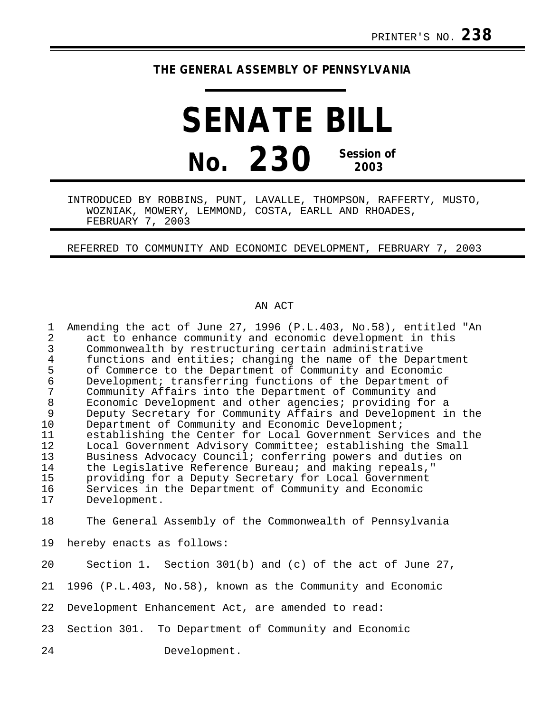## **THE GENERAL ASSEMBLY OF PENNSYLVANIA**

## **SENATE BILL No. 230 Session of 2003**

INTRODUCED BY ROBBINS, PUNT, LAVALLE, THOMPSON, RAFFERTY, MUSTO, WOZNIAK, MOWERY, LEMMOND, COSTA, EARLL AND RHOADES, FEBRUARY 7, 2003

REFERRED TO COMMUNITY AND ECONOMIC DEVELOPMENT, FEBRUARY 7, 2003

## AN ACT

| $\mathbf 1$<br>$\overline{a}$<br>$\mathbf{3}$<br>$\frac{4}{5}$<br>$\epsilon$<br>7<br>$\,8\,$<br>9 | Amending the act of June 27, 1996 (P.L.403, No.58), entitled "An<br>act to enhance community and economic development in this<br>Commonwealth by restructuring certain administrative<br>functions and entities; changing the name of the Department<br>of Commerce to the Department of Community and Economic<br>Development; transferring functions of the Department of<br>Community Affairs into the Department of Community and<br>Economic Development and other agencies; providing for a<br>Deputy Secretary for Community Affairs and Development in the |
|---------------------------------------------------------------------------------------------------|--------------------------------------------------------------------------------------------------------------------------------------------------------------------------------------------------------------------------------------------------------------------------------------------------------------------------------------------------------------------------------------------------------------------------------------------------------------------------------------------------------------------------------------------------------------------|
| 10<br>11                                                                                          | Department of Community and Economic Development;<br>establishing the Center for Local Government Services and the                                                                                                                                                                                                                                                                                                                                                                                                                                                 |
| 12                                                                                                | Local Government Advisory Committee; establishing the Small                                                                                                                                                                                                                                                                                                                                                                                                                                                                                                        |
| 13                                                                                                | Business Advocacy Council; conferring powers and duties on                                                                                                                                                                                                                                                                                                                                                                                                                                                                                                         |
| 14                                                                                                | the Legislative Reference Bureau; and making repeals,"                                                                                                                                                                                                                                                                                                                                                                                                                                                                                                             |
| 15                                                                                                | providing for a Deputy Secretary for Local Government                                                                                                                                                                                                                                                                                                                                                                                                                                                                                                              |
| 16<br>17                                                                                          | Services in the Department of Community and Economic<br>Development.                                                                                                                                                                                                                                                                                                                                                                                                                                                                                               |
|                                                                                                   |                                                                                                                                                                                                                                                                                                                                                                                                                                                                                                                                                                    |
| 18                                                                                                | The General Assembly of the Commonwealth of Pennsylvania                                                                                                                                                                                                                                                                                                                                                                                                                                                                                                           |
| 19                                                                                                | hereby enacts as follows:                                                                                                                                                                                                                                                                                                                                                                                                                                                                                                                                          |
| 20                                                                                                | Section 1. Section $301(b)$ and (c) of the act of June 27,                                                                                                                                                                                                                                                                                                                                                                                                                                                                                                         |
| 21                                                                                                | 1996 (P.L.403, No.58), known as the Community and Economic                                                                                                                                                                                                                                                                                                                                                                                                                                                                                                         |
| 22                                                                                                | Development Enhancement Act, are amended to read:                                                                                                                                                                                                                                                                                                                                                                                                                                                                                                                  |
| 23                                                                                                | To Department of Community and Economic<br>Section 301.                                                                                                                                                                                                                                                                                                                                                                                                                                                                                                            |
| 24                                                                                                | Development.                                                                                                                                                                                                                                                                                                                                                                                                                                                                                                                                                       |
|                                                                                                   |                                                                                                                                                                                                                                                                                                                                                                                                                                                                                                                                                                    |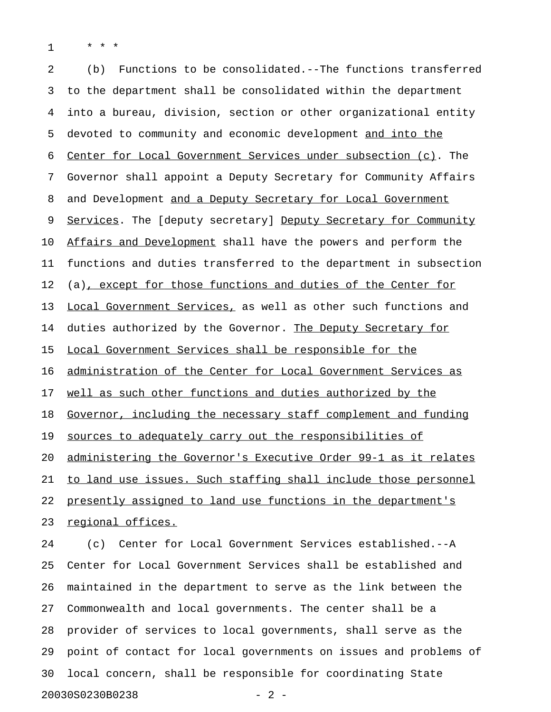1 \* \* \*

2 (b) Functions to be consolidated.--The functions transferred 3 to the department shall be consolidated within the department 4 into a bureau, division, section or other organizational entity 5 devoted to community and economic development and into the 6 Center for Local Government Services under subsection  $(c)$ . The 7 Governor shall appoint a Deputy Secretary for Community Affairs 8 and Development and a Deputy Secretary for Local Government 9 Services. The [deputy secretary] Deputy Secretary for Community 10 Affairs and Development shall have the powers and perform the 11 functions and duties transferred to the department in subsection 12 (a), except for those functions and duties of the Center for 13 Local Government Services, as well as other such functions and 14 duties authorized by the Governor. The Deputy Secretary for 15 Local Government Services shall be responsible for the 16 administration of the Center for Local Government Services as 17 well as such other functions and duties authorized by the 18 Governor, including the necessary staff complement and funding 19 sources to adequately carry out the responsibilities of 20 administering the Governor's Executive Order 99-1 as it relates 21 to land use issues. Such staffing shall include those personnel 22 presently assigned to land use functions in the department's 23 regional offices.

24 (c) Center for Local Government Services established.--A 25 Center for Local Government Services shall be established and 26 maintained in the department to serve as the link between the 27 Commonwealth and local governments. The center shall be a 28 provider of services to local governments, shall serve as the 29 point of contact for local governments on issues and problems of 30 local concern, shall be responsible for coordinating State 20030S0230B0238 - 2 -